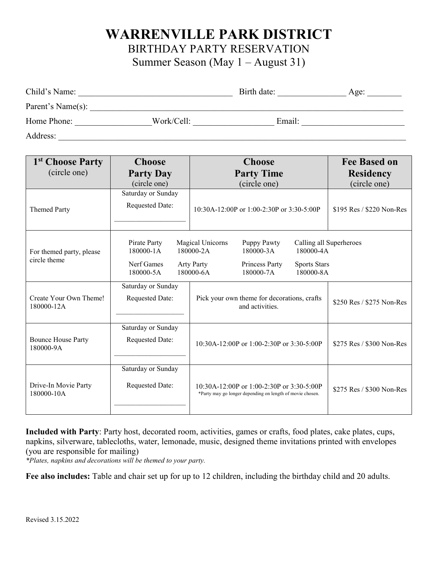## **WARRENVILLE PARK DISTRICT**

BIRTHDAY PARTY RESERVATION

Summer Season (May 1 – August 31)

| Child's Name:     |            | Birth date: | Age: |
|-------------------|------------|-------------|------|
| Parent's Name(s): |            |             |      |
| Home Phone:       | Work/Cell: | Email:      |      |
| Address:          |            |             |      |

| 1 <sup>st</sup> Choose Party             | <b>Choose</b>                                        | <b>Choose</b>                                                                                                                                                               | <b>Fee Based on</b>       |
|------------------------------------------|------------------------------------------------------|-----------------------------------------------------------------------------------------------------------------------------------------------------------------------------|---------------------------|
| (circle one)                             | <b>Party Day</b>                                     | <b>Party Time</b>                                                                                                                                                           | <b>Residency</b>          |
|                                          | (circle one)                                         | (circle one)                                                                                                                                                                | (circle one)              |
| <b>Themed Party</b>                      | Saturday or Sunday<br><b>Requested Date:</b>         | 10:30A-12:00P or 1:00-2:30P or 3:30-5:00P                                                                                                                                   | \$195 Res / \$220 Non-Res |
| For themed party, please<br>circle theme | Pirate Party<br>180000-1A<br>Nerf Games<br>180000-5A | Magical Unicorns<br>Puppy Pawty<br>180000-2A<br>180000-3A<br>180000-4A<br><b>Arty Party</b><br>Princess Party<br><b>Sports Stars</b><br>180000-6A<br>180000-7A<br>180000-8A | Calling all Superheroes   |
| Create Your Own Theme!<br>180000-12A     | Saturday or Sunday<br>Requested Date:                | Pick your own theme for decorations, crafts<br>and activities.                                                                                                              | \$250 Res / \$275 Non-Res |
| <b>Bounce House Party</b><br>180000-9A   | Saturday or Sunday<br><b>Requested Date:</b>         | $10:30A-12:00P$ or $1:00-2:30P$ or $3:30-5:00P$                                                                                                                             | \$275 Res / \$300 Non-Res |
| Drive-In Movie Party<br>180000-10A       | Saturday or Sunday<br><b>Requested Date:</b>         | $10:30A-12:00P$ or $1:00-2:30P$ or $3:30-5:00P$<br>*Party may go longer depending on length of movie chosen.                                                                | \$275 Res / \$300 Non-Res |

**Included with Party**: Party host, decorated room, activities, games or crafts, food plates, cake plates, cups, napkins, silverware, tablecloths, water, lemonade, music, designed theme invitations printed with envelopes (you are responsible for mailing)

*\*Plates, napkins and decorations will be themed to your party.*

**Fee also includes:** Table and chair set up for up to 12 children, including the birthday child and 20 adults.